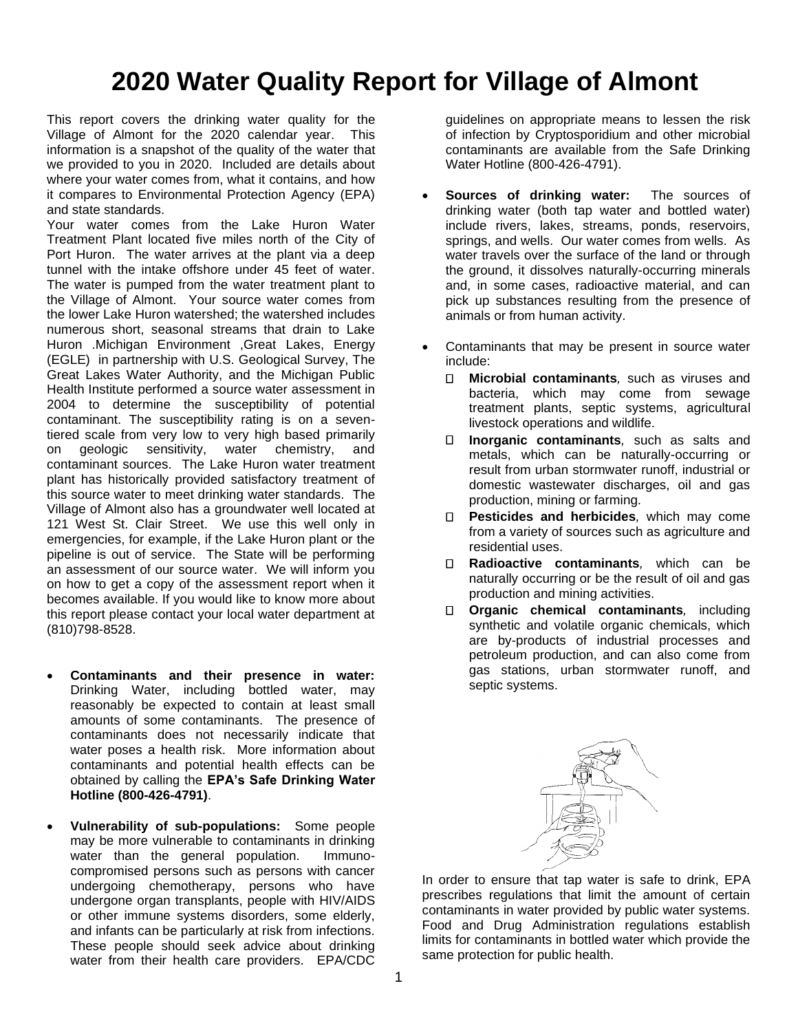# **2020 Water Quality Report for Village of Almont**

This report covers the drinking water quality for the Village of Almont for the 2020 calendar year. This information is a snapshot of the quality of the water that we provided to you in 2020. Included are details about where your water comes from, what it contains, and how it compares to Environmental Protection Agency (EPA) and state standards.

Your water comes from the Lake Huron Water Treatment Plant located five miles north of the City of Port Huron. The water arrives at the plant via a deep tunnel with the intake offshore under 45 feet of water. The water is pumped from the water treatment plant to the Village of Almont. Your source water comes from the lower Lake Huron watershed; the watershed includes numerous short, seasonal streams that drain to Lake Huron .Michigan Environment ,Great Lakes, Energy (EGLE) in partnership with U.S. Geological Survey, The Great Lakes Water Authority, and the Michigan Public Health Institute performed a source water assessment in 2004 to determine the susceptibility of potential contaminant. The susceptibility rating is on a seventiered scale from very low to very high based primarily on geologic sensitivity, water chemistry, and contaminant sources. The Lake Huron water treatment plant has historically provided satisfactory treatment of this source water to meet drinking water standards. The Village of Almont also has a groundwater well located at 121 West St. Clair Street. We use this well only in emergencies, for example, if the Lake Huron plant or the pipeline is out of service. The State will be performing an assessment of our source water. We will inform you on how to get a copy of the assessment report when it becomes available. If you would like to know more about this report please contact your local water department at (810)798-8528.

- **Contaminants and their presence in water:**  Drinking Water, including bottled water, may reasonably be expected to contain at least small amounts of some contaminants. The presence of contaminants does not necessarily indicate that water poses a health risk. More information about contaminants and potential health effects can be obtained by calling the **EPA's Safe Drinking Water Hotline (800-426-4791)**.
- **Vulnerability of sub-populations:** Some people may be more vulnerable to contaminants in drinking water than the general population. Immunocompromised persons such as persons with cancer undergoing chemotherapy, persons who have undergone organ transplants, people with HIV/AIDS or other immune systems disorders, some elderly, and infants can be particularly at risk from infections. These people should seek advice about drinking water from their health care providers. EPA/CDC

guidelines on appropriate means to lessen the risk of infection by Cryptosporidium and other microbial contaminants are available from the Safe Drinking Water Hotline (800-426-4791).

- **Sources of drinking water:** The sources of drinking water (both tap water and bottled water) include rivers, lakes, streams, ponds, reservoirs, springs, and wells. Our water comes from wells. As water travels over the surface of the land or through the ground, it dissolves naturally-occurring minerals and, in some cases, radioactive material, and can pick up substances resulting from the presence of animals or from human activity.
- Contaminants that may be present in source water include:
	- $\Box$ **Microbial contaminants***,* such as viruses and bacteria, which may come from sewage treatment plants, septic systems, agricultural livestock operations and wildlife.
	- $\Box$ **Inorganic contaminants***,* such as salts and metals, which can be naturally-occurring or result from urban stormwater runoff, industrial or domestic wastewater discharges, oil and gas production, mining or farming.
	- **Pesticides and herbicides***,* which may come from a variety of sources such as agriculture and residential uses.
	- **Radioactive contaminants***,* which can be naturally occurring or be the result of oil and gas production and mining activities.
	- **Organic chemical contaminants***,* including synthetic and volatile organic chemicals, which are by-products of industrial processes and petroleum production, and can also come from gas stations, urban stormwater runoff, and septic systems.



In order to ensure that tap water is safe to drink, EPA prescribes regulations that limit the amount of certain contaminants in water provided by public water systems. Food and Drug Administration regulations establish limits for contaminants in bottled water which provide the same protection for public health.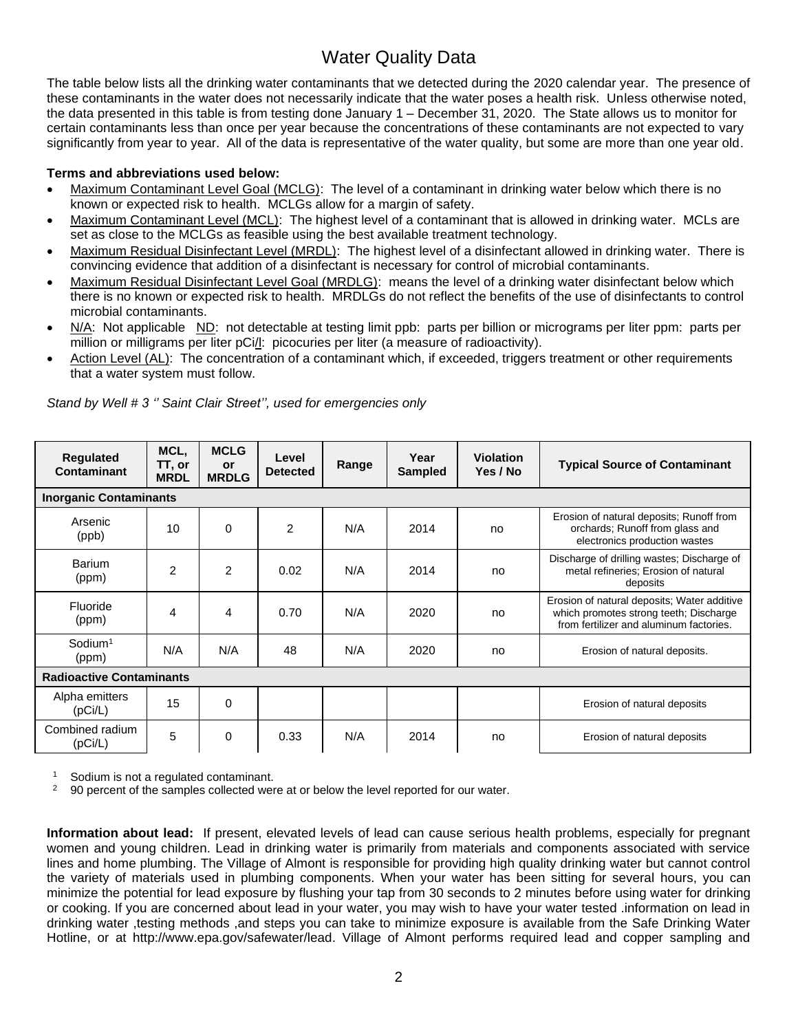### Water Quality Data

The table below lists all the drinking water contaminants that we detected during the 2020 calendar year. The presence of these contaminants in the water does not necessarily indicate that the water poses a health risk. Unless otherwise noted, the data presented in this table is from testing done January 1 – December 31, 2020. The State allows us to monitor for certain contaminants less than once per year because the concentrations of these contaminants are not expected to vary significantly from year to year. All of the data is representative of the water quality, but some are more than one year old.

#### **Terms and abbreviations used below:**

- Maximum Contaminant Level Goal (MCLG): The level of a contaminant in drinking water below which there is no known or expected risk to health. MCLGs allow for a margin of safety.
- Maximum Contaminant Level (MCL): The highest level of a contaminant that is allowed in drinking water. MCLs are set as close to the MCLGs as feasible using the best available treatment technology.
- Maximum Residual Disinfectant Level (MRDL): The highest level of a disinfectant allowed in drinking water. There is convincing evidence that addition of a disinfectant is necessary for control of microbial contaminants.
- Maximum Residual Disinfectant Level Goal (MRDLG): means the level of a drinking water disinfectant below which there is no known or expected risk to health. MRDLGs do not reflect the benefits of the use of disinfectants to control microbial contaminants.
- N/A: Not applicable ND: not detectable at testing limit ppb: parts per billion or micrograms per liter ppm: parts per million or milligrams per liter pCi/l: picocuries per liter (a measure of radioactivity).
- Action Level (AL): The concentration of a contaminant which, if exceeded, triggers treatment or other requirements that a water system must follow.

| Regulated<br>Contaminant        | MCL,<br>TT, or<br><b>MRDL</b> | <b>MCLG</b><br><b>or</b><br><b>MRDLG</b> | Level<br><b>Detected</b> | Range | Year<br><b>Sampled</b> | <b>Violation</b><br>Yes / No | <b>Typical Source of Contaminant</b>                                                                                             |
|---------------------------------|-------------------------------|------------------------------------------|--------------------------|-------|------------------------|------------------------------|----------------------------------------------------------------------------------------------------------------------------------|
| <b>Inorganic Contaminants</b>   |                               |                                          |                          |       |                        |                              |                                                                                                                                  |
| Arsenic<br>(ppb)                | 10                            | $\Omega$                                 | $\overline{2}$           | N/A   | 2014                   | no                           | Erosion of natural deposits; Runoff from<br>orchards; Runoff from glass and<br>electronics production wastes                     |
| Barium<br>(ppm)                 | $\overline{2}$                | $\overline{2}$                           | 0.02                     | N/A   | 2014                   | no                           | Discharge of drilling wastes; Discharge of<br>metal refineries; Erosion of natural<br>deposits                                   |
| Fluoride<br>(ppm)               | 4                             | 4                                        | 0.70                     | N/A   | 2020                   | no                           | Erosion of natural deposits; Water additive<br>which promotes strong teeth; Discharge<br>from fertilizer and aluminum factories. |
| $S$ odium <sup>1</sup><br>(ppm) | N/A                           | N/A                                      | 48                       | N/A   | 2020                   | no                           | Erosion of natural deposits.                                                                                                     |
| <b>Radioactive Contaminants</b> |                               |                                          |                          |       |                        |                              |                                                                                                                                  |
| Alpha emitters<br>(pCi/L)       | 15                            | $\Omega$                                 |                          |       |                        |                              | Erosion of natural deposits                                                                                                      |
| Combined radium<br>(pCi/L)      | 5                             | 0                                        | 0.33                     | N/A   | 2014                   | no                           | Erosion of natural deposits                                                                                                      |

*Stand by Well # 3 '' Saint Clair Street'', used for emergencies only*

 $\frac{1}{2}$  Sodium is not a regulated contaminant.

<sup>2</sup> 90 percent of the samples collected were at or below the level reported for our water.

**Information about lead:** If present, elevated levels of lead can cause serious health problems, especially for pregnant women and young children. Lead in drinking water is primarily from materials and components associated with service lines and home plumbing. The Village of Almont is responsible for providing high quality drinking water but cannot control the variety of materials used in plumbing components. When your water has been sitting for several hours, you can minimize the potential for lead exposure by flushing your tap from 30 seconds to 2 minutes before using water for drinking or cooking. If you are concerned about lead in your water, you may wish to have your water tested .information on lead in drinking water ,testing methods ,and steps you can take to minimize exposure is available from the Safe Drinking Water Hotline, or at http://www.epa.gov/safewater/lead. Village of Almont performs required lead and copper sampling and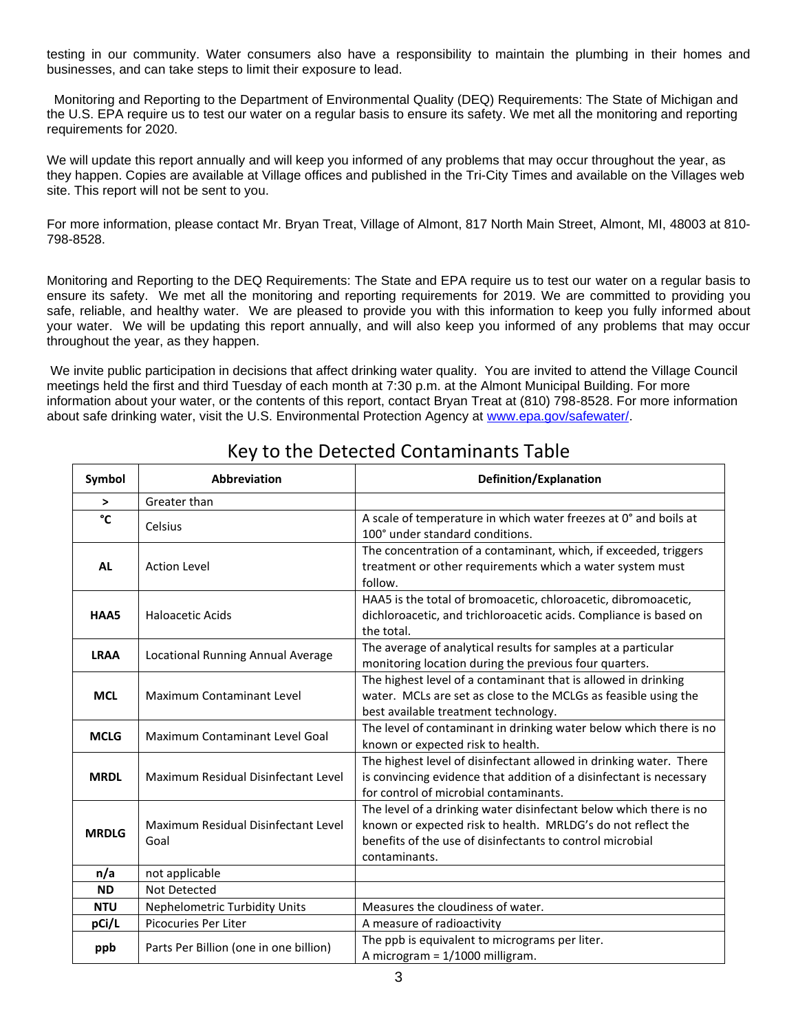testing in our community. Water consumers also have a responsibility to maintain the plumbing in their homes and businesses, and can take steps to limit their exposure to lead.

Monitoring and Reporting to the Department of Environmental Quality (DEQ) Requirements: The State of Michigan and the U.S. EPA require us to test our water on a regular basis to ensure its safety. We met all the monitoring and reporting requirements for 2020.

We will update this report annually and will keep you informed of any problems that may occur throughout the year, as they happen. Copies are available at Village offices and published in the Tri-City Times and available on the Villages web site. This report will not be sent to you.

For more information, please contact Mr. Bryan Treat, Village of Almont, 817 North Main Street, Almont, MI, 48003 at 810- 798-8528.

Monitoring and Reporting to the DEQ Requirements: The State and EPA require us to test our water on a regular basis to ensure its safety. We met all the monitoring and reporting requirements for 2019. We are committed to providing you safe, reliable, and healthy water. We are pleased to provide you with this information to keep you fully informed about your water. We will be updating this report annually, and will also keep you informed of any problems that may occur throughout the year, as they happen.

We invite public participation in decisions that affect drinking water quality. You are invited to attend the Village Council meetings held the first and third Tuesday of each month at 7:30 p.m. at the Almont Municipal Building. For more information about your water, or the contents of this report, contact Bryan Treat at (810) 798-8528. For more information about safe drinking water, visit the U.S. Environmental Protection Agency at [www.epa.gov/safewater/.](http://www.epa.gov/safewater/)

| Symbol       | Abbreviation                                | Definition/Explanation                                                                                                                                                                                           |  |  |  |  |
|--------------|---------------------------------------------|------------------------------------------------------------------------------------------------------------------------------------------------------------------------------------------------------------------|--|--|--|--|
| $\, >$       | Greater than                                |                                                                                                                                                                                                                  |  |  |  |  |
| °C           | Celsius                                     | A scale of temperature in which water freezes at 0° and boils at<br>100° under standard conditions.                                                                                                              |  |  |  |  |
| <b>AL</b>    | <b>Action Level</b>                         | The concentration of a contaminant, which, if exceeded, triggers<br>treatment or other requirements which a water system must<br>follow.                                                                         |  |  |  |  |
| HAA5         | <b>Haloacetic Acids</b>                     | HAA5 is the total of bromoacetic, chloroacetic, dibromoacetic,<br>dichloroacetic, and trichloroacetic acids. Compliance is based on<br>the total.                                                                |  |  |  |  |
| <b>LRAA</b>  | Locational Running Annual Average           | The average of analytical results for samples at a particular<br>monitoring location during the previous four quarters.                                                                                          |  |  |  |  |
| <b>MCL</b>   | <b>Maximum Contaminant Level</b>            | The highest level of a contaminant that is allowed in drinking<br>water. MCLs are set as close to the MCLGs as feasible using the<br>best available treatment technology.                                        |  |  |  |  |
| <b>MCLG</b>  | Maximum Contaminant Level Goal              | The level of contaminant in drinking water below which there is no<br>known or expected risk to health.                                                                                                          |  |  |  |  |
| <b>MRDL</b>  | Maximum Residual Disinfectant Level         | The highest level of disinfectant allowed in drinking water. There<br>is convincing evidence that addition of a disinfectant is necessary<br>for control of microbial contaminants.                              |  |  |  |  |
| <b>MRDLG</b> | Maximum Residual Disinfectant Level<br>Goal | The level of a drinking water disinfectant below which there is no<br>known or expected risk to health. MRLDG's do not reflect the<br>benefits of the use of disinfectants to control microbial<br>contaminants. |  |  |  |  |
| n/a          | not applicable                              |                                                                                                                                                                                                                  |  |  |  |  |
| <b>ND</b>    | Not Detected                                |                                                                                                                                                                                                                  |  |  |  |  |
| <b>NTU</b>   | <b>Nephelometric Turbidity Units</b>        | Measures the cloudiness of water.                                                                                                                                                                                |  |  |  |  |
| pCi/L        | <b>Picocuries Per Liter</b>                 | A measure of radioactivity                                                                                                                                                                                       |  |  |  |  |
| ppb          | Parts Per Billion (one in one billion)      | The ppb is equivalent to micrograms per liter.<br>A microgram = 1/1000 milligram.                                                                                                                                |  |  |  |  |

## Key to the Detected Contaminants Table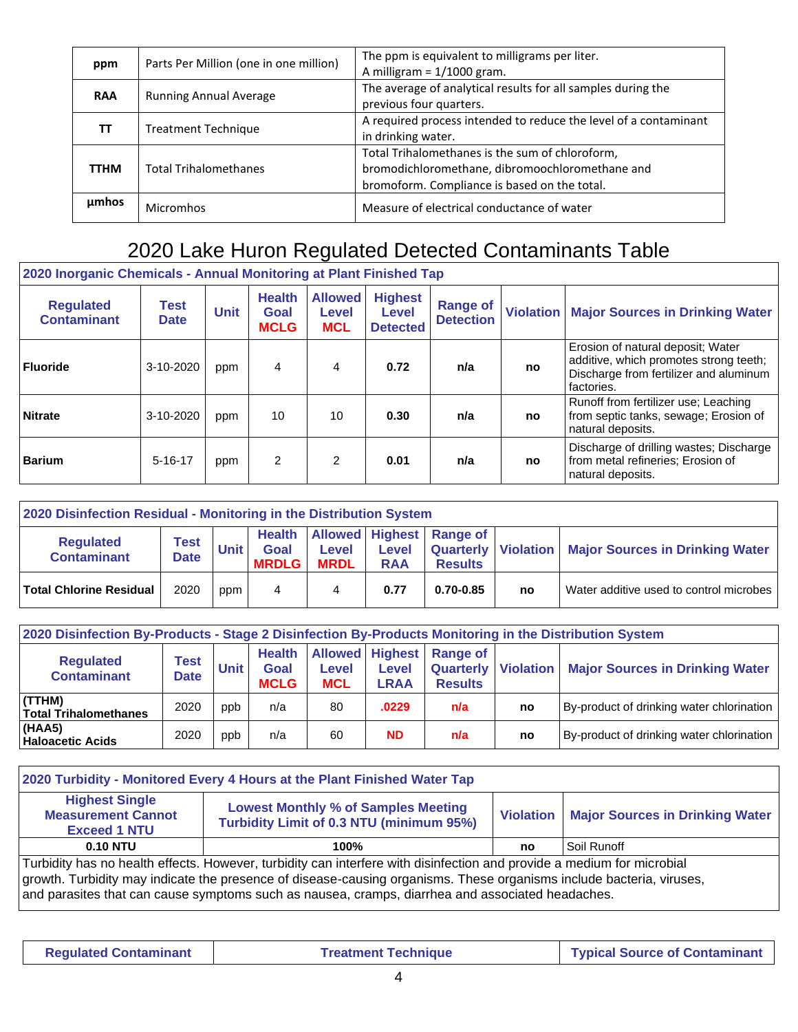| ppm         | Parts Per Million (one in one million) | The ppm is equivalent to milligrams per liter.<br>A milligram = $1/1000$ gram.                                                                     |
|-------------|----------------------------------------|----------------------------------------------------------------------------------------------------------------------------------------------------|
| <b>RAA</b>  | <b>Running Annual Average</b>          | The average of analytical results for all samples during the<br>previous four quarters.                                                            |
| ТΤ          | <b>Treatment Technique</b>             | A required process intended to reduce the level of a contaminant<br>in drinking water.                                                             |
| <b>TTHM</b> | <b>Total Trihalomethanes</b>           | Total Trihalomethanes is the sum of chloroform,<br>bromodichloromethane, dibromoochloromethane and<br>bromoform. Compliance is based on the total. |
| umhos       | <b>Micromhos</b>                       | Measure of electrical conductance of water                                                                                                         |

## 2020 Lake Huron Regulated Detected Contaminants Table

| 2020 Inorganic Chemicals - Annual Monitoring at Plant Finished Tap |                            |             |                                      |                                       |                                            |                                     |                  |                                                                                                                                     |  |  |  |  |
|--------------------------------------------------------------------|----------------------------|-------------|--------------------------------------|---------------------------------------|--------------------------------------------|-------------------------------------|------------------|-------------------------------------------------------------------------------------------------------------------------------------|--|--|--|--|
| <b>Regulated</b><br><b>Contaminant</b>                             | <b>Test</b><br><b>Date</b> | <b>Unit</b> | <b>Health</b><br>Goal<br><b>MCLG</b> | <b>Allowed</b><br>Level<br><b>MCL</b> | <b>Highest</b><br>Level<br><b>Detected</b> | <b>Range of</b><br><b>Detection</b> | <b>Violation</b> | <b>Major Sources in Drinking Water</b>                                                                                              |  |  |  |  |
| <b>Fluoride</b>                                                    | 3-10-2020                  | ppm         | 4                                    | 4                                     | 0.72                                       | n/a                                 | no               | Erosion of natural deposit; Water<br>additive, which promotes strong teeth;<br>Discharge from fertilizer and aluminum<br>factories. |  |  |  |  |
| <b>Nitrate</b>                                                     | 3-10-2020                  | ppm         | 10                                   | 10                                    | 0.30                                       | n/a                                 | no               | Runoff from fertilizer use; Leaching<br>from septic tanks, sewage; Erosion of<br>natural deposits.                                  |  |  |  |  |
| <b>Barium</b>                                                      | $5 - 16 - 17$              | ppm         | 2                                    | $\mathcal{P}$                         | 0.01                                       | n/a                                 | no               | Discharge of drilling wastes: Discharge<br>from metal refineries; Erosion of<br>natural deposits.                                   |  |  |  |  |

| 2020 Disinfection Residual - Monitoring in the Distribution System |                            |             |                                       |                             |                            |                                                                          |    |                                         |  |  |  |  |
|--------------------------------------------------------------------|----------------------------|-------------|---------------------------------------|-----------------------------|----------------------------|--------------------------------------------------------------------------|----|-----------------------------------------|--|--|--|--|
| <b>Regulated</b><br><b>Contaminant</b>                             | <b>Test</b><br><b>Date</b> | <b>Unit</b> | <b>Health</b><br>Goal<br><b>MRDLG</b> | <b>Level</b><br><b>MRDL</b> | <b>Level</b><br><b>RAA</b> | Allowed Highest Range of<br><b>Quarterly Violation</b><br><b>Results</b> |    | <b>Major Sources in Drinking Water</b>  |  |  |  |  |
| <b>Total Chlorine Residual</b>                                     | 2020                       | ppm         | 4                                     | 4                           | 0.77                       | 0.70-0.85                                                                | no | Water additive used to control microbes |  |  |  |  |

| 2020 Disinfection By-Products - Stage 2 Disinfection By-Products Monitoring in the Distribution System |                     |             |                                      |                            |                                                |                                                                 |    |                                           |  |  |  |  |
|--------------------------------------------------------------------------------------------------------|---------------------|-------------|--------------------------------------|----------------------------|------------------------------------------------|-----------------------------------------------------------------|----|-------------------------------------------|--|--|--|--|
| <b>Regulated</b><br><b>Contaminant</b>                                                                 | Test<br><b>Date</b> | <b>Unit</b> | <b>Health</b><br>Goal<br><b>MCLG</b> | <b>Level</b><br><b>MCL</b> | <b>Allowed Highest</b><br>Level<br><b>LRAA</b> | <b>Range of</b><br><b>Quarterly Violation</b><br><b>Results</b> |    | <b>Major Sources in Drinking Water</b>    |  |  |  |  |
| (TTHM)<br><b>Total Trihalomethanes</b>                                                                 | 2020                | ppb         | n/a                                  | 80                         | .0229                                          | n/a                                                             | no | By-product of drinking water chlorination |  |  |  |  |
| (HAA5)<br><b>Haloacetic Acids</b>                                                                      | 2020                | ppb         | n/a                                  | 60                         | <b>ND</b>                                      | n/a                                                             | no | By-product of drinking water chlorination |  |  |  |  |

| 2020 Turbidity - Monitored Every 4 Hours at the Plant Finished Water Tap                                                                                                                                                                                                                                                                           |                                                                                        |                    |                                        |  |  |  |  |  |  |  |
|----------------------------------------------------------------------------------------------------------------------------------------------------------------------------------------------------------------------------------------------------------------------------------------------------------------------------------------------------|----------------------------------------------------------------------------------------|--------------------|----------------------------------------|--|--|--|--|--|--|--|
| <b>Highest Single</b><br><b>Measurement Cannot</b><br><b>Exceed 1 NTU</b>                                                                                                                                                                                                                                                                          | <b>Lowest Monthly % of Samples Meeting</b><br>Turbidity Limit of 0.3 NTU (minimum 95%) | <b>Violation</b> I | <b>Major Sources in Drinking Water</b> |  |  |  |  |  |  |  |
| <b>0.10 NTU</b>                                                                                                                                                                                                                                                                                                                                    | 100%                                                                                   | no                 | Soil Runoff                            |  |  |  |  |  |  |  |
| Turbidity has no health effects. However, turbidity can interfere with disinfection and provide a medium for microbial<br>growth. Turbidity may indicate the presence of disease-causing organisms. These organisms include bacteria, viruses,<br>and parasites that can cause symptoms such as nausea, cramps, diarrhea and associated headaches. |                                                                                        |                    |                                        |  |  |  |  |  |  |  |

**Regulated Contaminant | Treatment Technique | Typical Source of Contaminant**